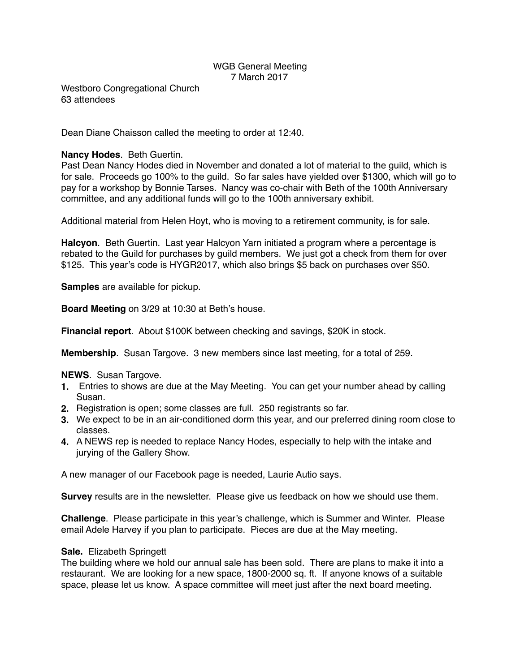# WGB General Meeting 7 March 2017

Westboro Congregational Church 63 attendees

Dean Diane Chaisson called the meeting to order at 12:40.

### **Nancy Hodes**. Beth Guertin.

Past Dean Nancy Hodes died in November and donated a lot of material to the guild, which is for sale. Proceeds go 100% to the guild. So far sales have yielded over \$1300, which will go to pay for a workshop by Bonnie Tarses. Nancy was co-chair with Beth of the 100th Anniversary committee, and any additional funds will go to the 100th anniversary exhibit.

Additional material from Helen Hoyt, who is moving to a retirement community, is for sale.

**Halcyon**. Beth Guertin. Last year Halcyon Yarn initiated a program where a percentage is rebated to the Guild for purchases by guild members. We just got a check from them for over \$125. This year's code is HYGR2017, which also brings \$5 back on purchases over \$50.

**Samples** are available for pickup.

**Board Meeting** on 3/29 at 10:30 at Beth's house.

**Financial report**. About \$100K between checking and savings, \$20K in stock.

**Membership**. Susan Targove. 3 new members since last meeting, for a total of 259.

#### **NEWS**. Susan Targove.

- **1.** Entries to shows are due at the May Meeting. You can get your number ahead by calling Susan.
- **2.** Registration is open; some classes are full. 250 registrants so far.
- **3.** We expect to be in an air-conditioned dorm this year, and our preferred dining room close to classes.
- **4.** A NEWS rep is needed to replace Nancy Hodes, especially to help with the intake and jurying of the Gallery Show.

A new manager of our Facebook page is needed, Laurie Autio says.

**Survey** results are in the newsletter. Please give us feedback on how we should use them.

**Challenge**. Please participate in this year's challenge, which is Summer and Winter. Please email Adele Harvey if you plan to participate. Pieces are due at the May meeting.

#### **Sale.** Elizabeth Springett

The building where we hold our annual sale has been sold. There are plans to make it into a restaurant. We are looking for a new space, 1800-2000 sq. ft. If anyone knows of a suitable space, please let us know. A space committee will meet just after the next board meeting.